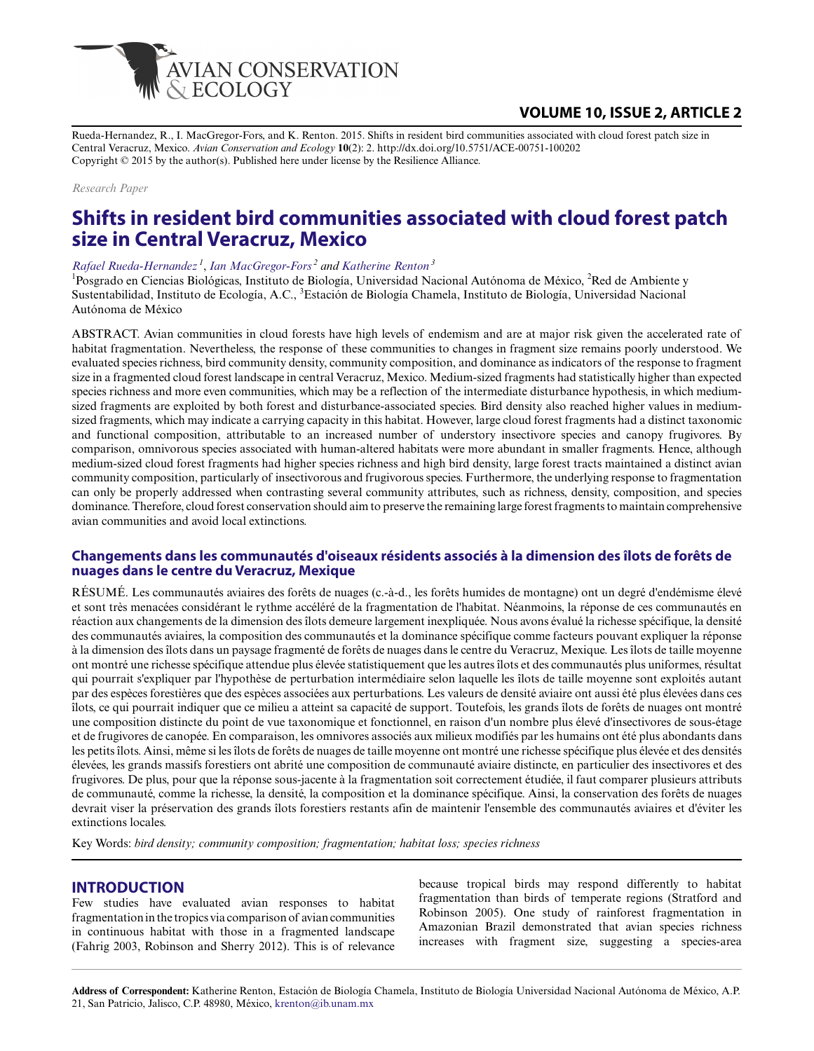

## **VOLUME 10, ISSUE 2, ARTICLE 2**

Rueda-Hernandez, R., I. MacGregor-Fors, and K. Renton. 2015. Shifts in resident bird communities associated with cloud forest patch size in Central Veracruz, Mexico. *Avian Conservation and Ecology* **10**(2): 2. http://dx.doi.org/10.5751/ACE-00751-100202 Copyright © 2015 by the author(s). Published here under license by the Resilience Alliance.

#### *Research Paper*

# **Shifts in resident bird communities associated with cloud forest patch size in Central Veracruz, Mexico**

#### *[Rafael Rueda-Hernandez](mailto:rafael.ruedahernandez@gmail.com)<sup>1</sup>* , *[Ian MacGregor-Fors](mailto:macgregor.ian@gmail.com)<sup>2</sup> and [Katherine Renton](mailto:krenton@ib.unam.mx)<sup>3</sup>*

<sup>1</sup>Posgrado en Ciencias Biológicas, Instituto de Biología, Universidad Nacional Autónoma de México, <sup>2</sup>Red de Ambiente y Sustentabilidad, Instituto de Ecología, A.C., <sup>3</sup>Estación de Biología Chamela, Instituto de Biología, Universidad Nacional Autónoma de México

ABSTRACT. Avian communities in cloud forests have high levels of endemism and are at major risk given the accelerated rate of habitat fragmentation. Nevertheless, the response of these communities to changes in fragment size remains poorly understood. We evaluated species richness, bird community density, community composition, and dominance as indicators of the response to fragment size in a fragmented cloud forest landscape in central Veracruz, Mexico. Medium-sized fragments had statistically higher than expected species richness and more even communities, which may be a reflection of the intermediate disturbance hypothesis, in which mediumsized fragments are exploited by both forest and disturbance-associated species. Bird density also reached higher values in mediumsized fragments, which may indicate a carrying capacity in this habitat. However, large cloud forest fragments had a distinct taxonomic and functional composition, attributable to an increased number of understory insectivore species and canopy frugivores. By comparison, omnivorous species associated with human-altered habitats were more abundant in smaller fragments. Hence, although medium-sized cloud forest fragments had higher species richness and high bird density, large forest tracts maintained a distinct avian community composition, particularly of insectivorous and frugivorous species. Furthermore, the underlying response to fragmentation can only be properly addressed when contrasting several community attributes, such as richness, density, composition, and species dominance. Therefore, cloud forest conservation should aim to preserve the remaining large forest fragments to maintain comprehensive avian communities and avoid local extinctions.

#### **Changements dans les communautés d'oiseaux résidents associés à la dimension des îlots de forêts de nuages dans le centre du Veracruz, Mexique**

RÉSUMÉ. Les communautés aviaires des forêts de nuages (c.-à-d., les forêts humides de montagne) ont un degré d'endémisme élevé et sont très menacées considérant le rythme accéléré de la fragmentation de l'habitat. Néanmoins, la réponse de ces communautés en réaction aux changements de la dimension des îlots demeure largement inexpliquée. Nous avons évalué la richesse spécifique, la densité des communautés aviaires, la composition des communautés et la dominance spécifique comme facteurs pouvant expliquer la réponse à la dimension des îlots dans un paysage fragmenté de forêts de nuages dans le centre du Veracruz, Mexique. Les îlots de taille moyenne ont montré une richesse spécifique attendue plus élevée statistiquement que les autres îlots et des communautés plus uniformes, résultat qui pourrait s'expliquer par l'hypothèse de perturbation intermédiaire selon laquelle les îlots de taille moyenne sont exploités autant par des espèces forestières que des espèces associées aux perturbations. Les valeurs de densité aviaire ont aussi été plus élevées dans ces îlots, ce qui pourrait indiquer que ce milieu a atteint sa capacité de support. Toutefois, les grands îlots de forêts de nuages ont montré une composition distincte du point de vue taxonomique et fonctionnel, en raison d'un nombre plus élevé d'insectivores de sous-étage et de frugivores de canopée. En comparaison, les omnivores associés aux milieux modifiés par les humains ont été plus abondants dans les petits îlots. Ainsi, même si les îlots de forêts de nuages de taille moyenne ont montré une richesse spécifique plus élevée et des densités élevées, les grands massifs forestiers ont abrité une composition de communauté aviaire distincte, en particulier des insectivores et des frugivores. De plus, pour que la réponse sous-jacente à la fragmentation soit correctement étudiée, il faut comparer plusieurs attributs de communauté, comme la richesse, la densité, la composition et la dominance spécifique. Ainsi, la conservation des forêts de nuages devrait viser la préservation des grands îlots forestiers restants afin de maintenir l'ensemble des communautés aviaires et d'éviter les extinctions locales.

Key Words: *bird density; community composition; fragmentation; habitat loss; species richness*

#### **INTRODUCTION**

Few studies have evaluated avian responses to habitat fragmentation in the tropics via comparison of avian communities in continuous habitat with those in a fragmented landscape (Fahrig 2003, Robinson and Sherry 2012). This is of relevance

because tropical birds may respond differently to habitat fragmentation than birds of temperate regions (Stratford and Robinson 2005). One study of rainforest fragmentation in Amazonian Brazil demonstrated that avian species richness increases with fragment size, suggesting a species-area

**Address of Correspondent:** Katherine Renton, Estación de Biología Chamela, Instituto de Biología Universidad Nacional Autónoma de México, A.P. 21, San Patricio, Jalisco, C.P. 48980, México, [krenton@ib.unam.mx](mailto:krenton@ib.unam.mx)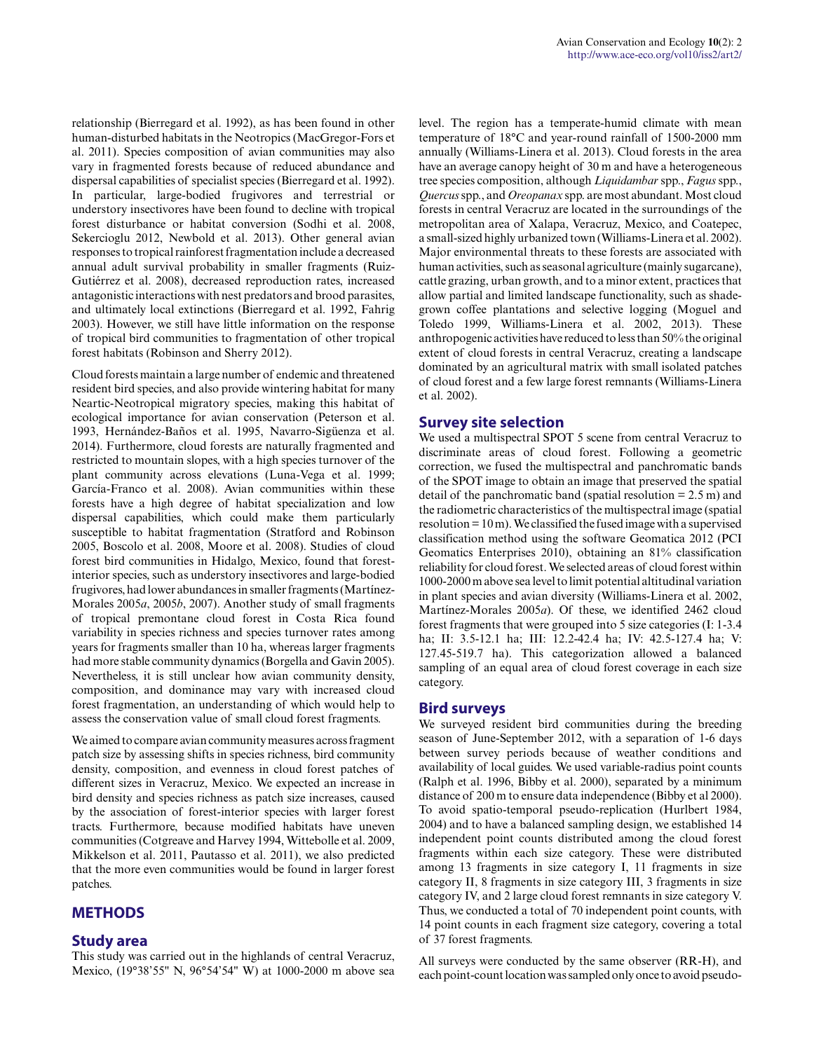relationship (Bierregard et al. 1992), as has been found in other human-disturbed habitats in the Neotropics (MacGregor-Fors et al. 2011). Species composition of avian communities may also vary in fragmented forests because of reduced abundance and dispersal capabilities of specialist species (Bierregard et al. 1992). In particular, large-bodied frugivores and terrestrial or understory insectivores have been found to decline with tropical forest disturbance or habitat conversion (Sodhi et al. 2008, Sekercioglu 2012, Newbold et al. 2013). Other general avian responses to tropical rainforest fragmentation include a decreased annual adult survival probability in smaller fragments (Ruiz-Gutiérrez et al. 2008), decreased reproduction rates, increased antagonistic interactions with nest predators and brood parasites, and ultimately local extinctions (Bierregard et al. 1992, Fahrig 2003). However, we still have little information on the response of tropical bird communities to fragmentation of other tropical forest habitats (Robinson and Sherry 2012).

Cloud forests maintain a large number of endemic and threatened resident bird species, and also provide wintering habitat for many Neartic-Neotropical migratory species, making this habitat of ecological importance for avian conservation (Peterson et al. 1993, Hernández-Baños et al. 1995, Navarro-Sigüenza et al. 2014). Furthermore, cloud forests are naturally fragmented and restricted to mountain slopes, with a high species turnover of the plant community across elevations (Luna-Vega et al. 1999; García-Franco et al. 2008). Avian communities within these forests have a high degree of habitat specialization and low dispersal capabilities, which could make them particularly susceptible to habitat fragmentation (Stratford and Robinson 2005, Boscolo et al. 2008, Moore et al. 2008). Studies of cloud forest bird communities in Hidalgo, Mexico, found that forestinterior species, such as understory insectivores and large-bodied frugivores, had lower abundances in smaller fragments (Martínez-Morales 2005*a*, 2005*b*, 2007). Another study of small fragments of tropical premontane cloud forest in Costa Rica found variability in species richness and species turnover rates among years for fragments smaller than 10 ha, whereas larger fragments had more stable community dynamics (Borgella and Gavin 2005). Nevertheless, it is still unclear how avian community density, composition, and dominance may vary with increased cloud forest fragmentation, an understanding of which would help to assess the conservation value of small cloud forest fragments.

We aimed to compare avian community measures across fragment patch size by assessing shifts in species richness, bird community density, composition, and evenness in cloud forest patches of different sizes in Veracruz, Mexico. We expected an increase in bird density and species richness as patch size increases, caused by the association of forest-interior species with larger forest tracts. Furthermore, because modified habitats have uneven communities (Cotgreave and Harvey 1994, Wittebolle et al. 2009, Mikkelson et al. 2011, Pautasso et al. 2011), we also predicted that the more even communities would be found in larger forest patches.

## **METHODS**

## **Study area**

This study was carried out in the highlands of central Veracruz, Mexico, (19°38'55" N, 96°54'54" W) at 1000-2000 m above sea level. The region has a temperate-humid climate with mean temperature of 18°C and year-round rainfall of 1500-2000 mm annually (Williams-Linera et al. 2013). Cloud forests in the area have an average canopy height of 30 m and have a heterogeneous tree species composition, although *Liquidambar* spp., *Fagus* spp., *Quercus* spp., and *Oreopanax* spp. are most abundant. Most cloud forests in central Veracruz are located in the surroundings of the metropolitan area of Xalapa, Veracruz, Mexico, and Coatepec, a small-sized highly urbanized town (Williams-Linera et al. 2002). Major environmental threats to these forests are associated with human activities, such as seasonal agriculture (mainly sugarcane), cattle grazing, urban growth, and to a minor extent, practices that allow partial and limited landscape functionality, such as shadegrown coffee plantations and selective logging (Moguel and Toledo 1999, Williams-Linera et al. 2002, 2013). These anthropogenic activities have reduced to less than 50% the original extent of cloud forests in central Veracruz, creating a landscape dominated by an agricultural matrix with small isolated patches of cloud forest and a few large forest remnants (Williams-Linera et al. 2002).

#### **Survey site selection**

We used a multispectral SPOT 5 scene from central Veracruz to discriminate areas of cloud forest. Following a geometric correction, we fused the multispectral and panchromatic bands of the SPOT image to obtain an image that preserved the spatial detail of the panchromatic band (spatial resolution  $= 2.5$  m) and the radiometric characteristics of the multispectral image (spatial resolution  $= 10 \,\mathrm{m}$ ). We classified the fused image with a supervised classification method using the software Geomatica 2012 (PCI Geomatics Enterprises 2010), obtaining an 81% classification reliability for cloud forest. We selected areas of cloud forest within 1000-2000 m above sea level to limit potential altitudinal variation in plant species and avian diversity (Williams-Linera et al. 2002, Martínez-Morales 2005*a*). Of these, we identified 2462 cloud forest fragments that were grouped into 5 size categories (I: 1-3.4 ha; II: 3.5-12.1 ha; III: 12.2-42.4 ha; IV: 42.5-127.4 ha; V: 127.45-519.7 ha). This categorization allowed a balanced sampling of an equal area of cloud forest coverage in each size category.

#### **Bird surveys**

We surveyed resident bird communities during the breeding season of June-September 2012, with a separation of 1-6 days between survey periods because of weather conditions and availability of local guides. We used variable-radius point counts (Ralph et al. 1996, Bibby et al. 2000), separated by a minimum distance of 200 m to ensure data independence (Bibby et al 2000). To avoid spatio-temporal pseudo-replication (Hurlbert 1984, 2004) and to have a balanced sampling design, we established 14 independent point counts distributed among the cloud forest fragments within each size category. These were distributed among 13 fragments in size category I, 11 fragments in size category II, 8 fragments in size category III, 3 fragments in size category IV, and 2 large cloud forest remnants in size category V. Thus, we conducted a total of 70 independent point counts, with 14 point counts in each fragment size category, covering a total of 37 forest fragments.

All surveys were conducted by the same observer (RR-H), and each point-count location was sampled only once to avoid pseudo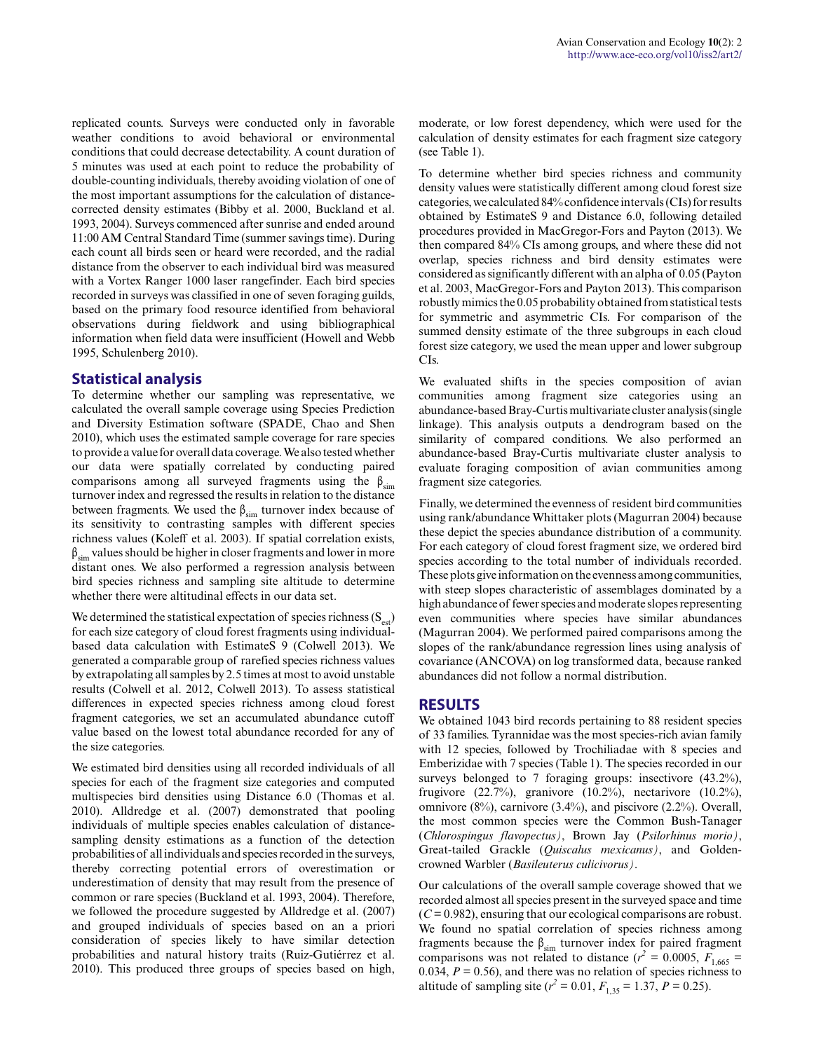replicated counts. Surveys were conducted only in favorable weather conditions to avoid behavioral or environmental conditions that could decrease detectability. A count duration of 5 minutes was used at each point to reduce the probability of double-counting individuals, thereby avoiding violation of one of the most important assumptions for the calculation of distancecorrected density estimates (Bibby et al. 2000, Buckland et al. 1993, 2004). Surveys commenced after sunrise and ended around 11:00 AM Central Standard Time (summer savings time). During each count all birds seen or heard were recorded, and the radial distance from the observer to each individual bird was measured with a Vortex Ranger 1000 laser rangefinder. Each bird species recorded in surveys was classified in one of seven foraging guilds, based on the primary food resource identified from behavioral observations during fieldwork and using bibliographical information when field data were insufficient (Howell and Webb 1995, Schulenberg 2010).

## **Statistical analysis**

To determine whether our sampling was representative, we calculated the overall sample coverage using Species Prediction and Diversity Estimation software (SPADE, Chao and Shen 2010), which uses the estimated sample coverage for rare species to provide a value for overall data coverage. We also tested whether our data were spatially correlated by conducting paired comparisons among all surveyed fragments using the  $\beta_{sim}$ turnover index and regressed the results in relation to the distance between fragments. We used the  $\beta_{sim}$  turnover index because of its sensitivity to contrasting samples with different species richness values (Koleff et al. 2003). If spatial correlation exists,  $\beta_{sim}$  values should be higher in closer fragments and lower in more distant ones. We also performed a regression analysis between bird species richness and sampling site altitude to determine whether there were altitudinal effects in our data set.

We determined the statistical expectation of species richness  $(S_{est})$ for each size category of cloud forest fragments using individualbased data calculation with EstimateS 9 (Colwell 2013). We generated a comparable group of rarefied species richness values by extrapolating all samples by 2.5 times at most to avoid unstable results (Colwell et al. 2012, Colwell 2013). To assess statistical differences in expected species richness among cloud forest fragment categories, we set an accumulated abundance cutoff value based on the lowest total abundance recorded for any of the size categories.

We estimated bird densities using all recorded individuals of all species for each of the fragment size categories and computed multispecies bird densities using Distance 6.0 (Thomas et al. 2010). Alldredge et al. (2007) demonstrated that pooling individuals of multiple species enables calculation of distancesampling density estimations as a function of the detection probabilities of all individuals and species recorded in the surveys, thereby correcting potential errors of overestimation or underestimation of density that may result from the presence of common or rare species (Buckland et al. 1993, 2004). Therefore, we followed the procedure suggested by Alldredge et al. (2007) and grouped individuals of species based on an a priori consideration of species likely to have similar detection probabilities and natural history traits (Ruiz-Gutiérrez et al. 2010). This produced three groups of species based on high, moderate, or low forest dependency, which were used for the calculation of density estimates for each fragment size category (see Table 1).

To determine whether bird species richness and community density values were statistically different among cloud forest size categories, we calculated 84% confidence intervals (CIs) for results obtained by EstimateS 9 and Distance 6.0, following detailed procedures provided in MacGregor-Fors and Payton (2013). We then compared 84% CIs among groups, and where these did not overlap, species richness and bird density estimates were considered as significantly different with an alpha of 0.05 (Payton et al. 2003, MacGregor-Fors and Payton 2013). This comparison robustly mimics the 0.05 probability obtained from statistical tests for symmetric and asymmetric CIs. For comparison of the summed density estimate of the three subgroups in each cloud forest size category, we used the mean upper and lower subgroup CIs.

We evaluated shifts in the species composition of avian communities among fragment size categories using an abundance-based Bray-Curtis multivariate cluster analysis (single linkage). This analysis outputs a dendrogram based on the similarity of compared conditions. We also performed an abundance-based Bray-Curtis multivariate cluster analysis to evaluate foraging composition of avian communities among fragment size categories.

Finally, we determined the evenness of resident bird communities using rank/abundance Whittaker plots (Magurran 2004) because these depict the species abundance distribution of a community. For each category of cloud forest fragment size, we ordered bird species according to the total number of individuals recorded. These plots give information on the evenness among communities, with steep slopes characteristic of assemblages dominated by a high abundance of fewer species and moderate slopes representing even communities where species have similar abundances (Magurran 2004). We performed paired comparisons among the slopes of the rank/abundance regression lines using analysis of covariance (ANCOVA) on log transformed data, because ranked abundances did not follow a normal distribution.

#### **RESULTS**

We obtained 1043 bird records pertaining to 88 resident species of 33 families. Tyrannidae was the most species-rich avian family with 12 species, followed by Trochiliadae with 8 species and Emberizidae with 7 species (Table 1). The species recorded in our surveys belonged to 7 foraging groups: insectivore  $(43.2\%)$ , frugivore (22.7%), granivore (10.2%), nectarivore (10.2%), omnivore (8%), carnivore (3.4%), and piscivore (2.2%). Overall, the most common species were the Common Bush-Tanager (*Chlorospingus flavopectus)*, Brown Jay (*Psilorhinus morio)*, Great-tailed Grackle (*Quiscalus mexicanus)*, and Goldencrowned Warbler (*Basileuterus culicivorus)*.

Our calculations of the overall sample coverage showed that we recorded almost all species present in the surveyed space and time  $(C = 0.982)$ , ensuring that our ecological comparisons are robust. We found no spatial correlation of species richness among fragments because the  $\beta_{sim}$  turnover index for paired fragment comparisons was not related to distance ( $r^2 = 0.0005$ ,  $F_{1,665} =$ 0.034,  $P = 0.56$ ), and there was no relation of species richness to altitude of sampling site ( $r^2 = 0.01$ ,  $F_{1,35} = 1.37$ ,  $P = 0.25$ ).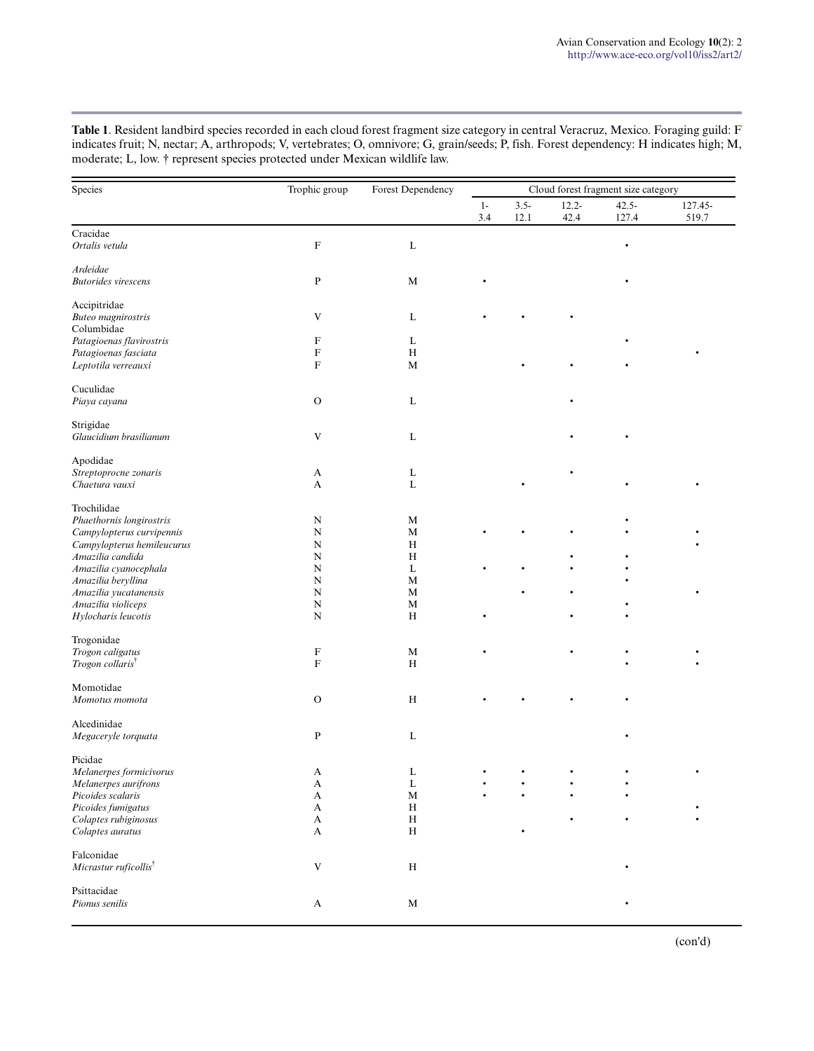**Table 1**. Resident landbird species recorded in each cloud forest fragment size category in central Veracruz, Mexico. Foraging guild: F indicates fruit; N, nectar; A, arthropods; V, vertebrates; O, omnivore; G, grain/seeds; P, fish. Forest dependency: H indicates high; M, moderate; L, low. † represent species protected under Mexican wildlife law.

| Species                                          | Trophic group                  | Forest Dependency            | Cloud forest fragment size category |                 |                  |                   |                  |
|--------------------------------------------------|--------------------------------|------------------------------|-------------------------------------|-----------------|------------------|-------------------|------------------|
|                                                  |                                |                              | $1-$<br>3.4                         | $3.5 -$<br>12.1 | $12.2 -$<br>42.4 | $42.5 -$<br>127.4 | 127.45-<br>519.7 |
| Cracidae                                         |                                |                              |                                     |                 |                  |                   |                  |
| Ortalis vetula                                   | $\mathbf F$                    | $\mathbf L$                  |                                     |                 |                  | $\bullet$         |                  |
| Ardeidae                                         |                                |                              |                                     |                 |                  |                   |                  |
| <b>Butorides</b> virescens                       | ${\bf P}$                      | $\mathbf M$                  |                                     |                 |                  |                   |                  |
| Accipitridae                                     |                                |                              |                                     |                 |                  |                   |                  |
| <b>Buteo</b> magnirostris                        | V                              | L                            |                                     |                 |                  |                   |                  |
| Columbidae<br>Patagioenas flavirostris           | F                              | L                            |                                     |                 |                  |                   |                  |
| Patagioenas fasciata                             | ${\rm F}$                      | $\, {\rm H}$                 |                                     |                 |                  |                   |                  |
| Leptotila verreauxi                              | ${\rm F}$                      | $\mathbf M$                  |                                     |                 |                  |                   |                  |
| Cuculidae                                        |                                |                              |                                     |                 |                  |                   |                  |
| Piaya cayana                                     | $\mathbf O$                    | L                            |                                     |                 |                  |                   |                  |
| Strigidae                                        |                                |                              |                                     |                 |                  |                   |                  |
| Glaucidium brasilianum                           | V                              | $\mathbf{L}$                 |                                     |                 |                  |                   |                  |
| Apodidae                                         |                                |                              |                                     |                 |                  |                   |                  |
| Streptoprocne zonaris                            | A                              | L                            |                                     |                 |                  |                   |                  |
| Chaetura vauxi                                   | A                              | $\bf L$                      |                                     |                 |                  |                   |                  |
| Trochilidae                                      |                                |                              |                                     |                 |                  |                   |                  |
| Phaethornis longirostris                         | N                              | М                            |                                     |                 |                  |                   |                  |
| Campylopterus curvipennis                        | $\mathbf N$                    | $\mathbf M$                  |                                     |                 |                  |                   |                  |
| Campylopterus hemileucurus                       | $\mathbf N$                    | $\, {\rm H}$                 |                                     |                 |                  |                   |                  |
| Amazilia candida                                 | N                              | $\, {\rm H}$                 |                                     |                 |                  |                   |                  |
| Amazilia cyanocephala                            | $\mathbf N$                    | L                            |                                     |                 |                  |                   |                  |
| Amazilia beryllina                               | $\mathbf N$<br>$\mathbf N$     | M                            |                                     |                 |                  |                   |                  |
| Amazilia yucatanensis                            | $\mathbf N$                    | М                            |                                     |                 |                  |                   |                  |
| Amazilia violiceps<br>Hylocharis leucotis        | $\mathbf N$                    | M<br>$\, {\rm H}$            |                                     |                 |                  |                   |                  |
|                                                  |                                |                              |                                     |                 |                  |                   |                  |
| Trogonidae                                       |                                |                              |                                     |                 |                  |                   |                  |
| Trogon caligatus<br>Trogon collaris <sup>†</sup> | F<br>$\boldsymbol{\mathrm{F}}$ | М<br>$\, {\rm H}$            |                                     |                 |                  |                   |                  |
|                                                  |                                |                              |                                     |                 |                  |                   |                  |
| Momotidae                                        |                                |                              |                                     |                 |                  |                   |                  |
| Momotus momota                                   | $\mathbf O$                    | $\, {\rm H}$                 |                                     |                 |                  |                   |                  |
| Alcedinidae                                      |                                |                              |                                     |                 |                  |                   |                  |
| Megaceryle torquata                              | P                              | L                            |                                     |                 |                  |                   |                  |
| Picidae                                          |                                |                              |                                     |                 |                  |                   |                  |
| Melanerpes formicivorus                          | А                              | L                            |                                     |                 |                  |                   |                  |
| Melanerpes aurifrons                             | A                              | L                            |                                     |                 |                  |                   |                  |
| Picoides scalaris                                | A                              | $\mathbf M$                  |                                     |                 |                  |                   |                  |
| Picoides fumigatus                               | A                              | $\, {\rm H}$                 |                                     |                 |                  |                   |                  |
| Colaptes rubiginosus<br>Colaptes auratus         | A<br>A                         | $\, {\rm H}$<br>$\, {\rm H}$ |                                     |                 |                  |                   |                  |
|                                                  |                                |                              |                                     |                 |                  |                   |                  |
| Falconidae                                       | V                              |                              |                                     |                 |                  |                   |                  |
| Micrastur ruficollis <sup>†</sup>                |                                | $\, {\rm H}$                 |                                     |                 |                  |                   |                  |
| Psittacidae                                      |                                |                              |                                     |                 |                  |                   |                  |
| Pionus senilis                                   | $\mathbf A$                    | $\mathbf M$                  |                                     |                 |                  |                   |                  |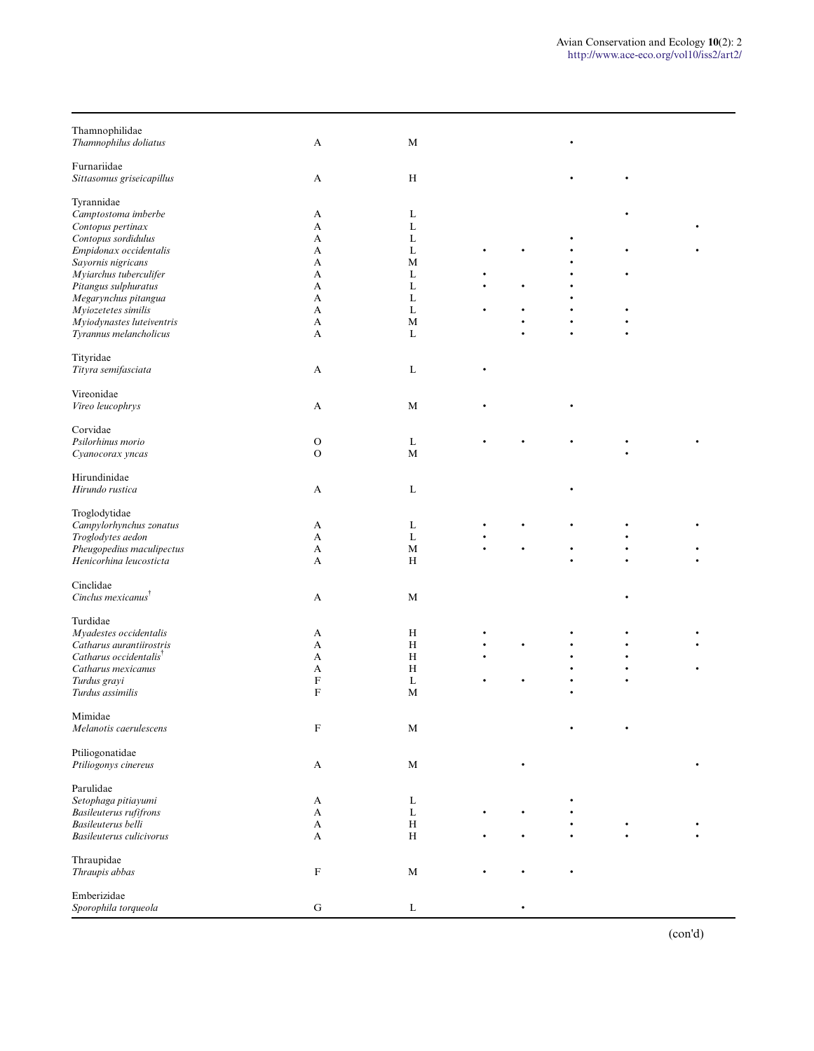| Thamnophilidae<br>Thamnophilus doliatus  | A            | $\mathbf M$  |  |  |  |
|------------------------------------------|--------------|--------------|--|--|--|
| Furnariidae<br>Sittasomus griseicapillus | A            | $\,$ H       |  |  |  |
| Tyrannidae                               |              |              |  |  |  |
| Camptostoma imberbe                      | A            | L            |  |  |  |
| Contopus pertinax                        | A            | L            |  |  |  |
| Contopus sordidulus                      | A            | L            |  |  |  |
| Empidonax occidentalis                   | А            | L            |  |  |  |
| Sayornis nigricans                       | А            | M            |  |  |  |
| Myiarchus tuberculifer                   | A            | L            |  |  |  |
| Pitangus sulphuratus                     | A            | L            |  |  |  |
| Megarynchus pitangua                     | A            | L            |  |  |  |
| Myiozetetes similis                      | A            | L            |  |  |  |
| Myiodynastes luteiventris                | A            | M            |  |  |  |
| Tyrannus melancholicus                   | A            | L            |  |  |  |
| Tityridae                                |              |              |  |  |  |
| Tityra semifasciata                      | A            | L            |  |  |  |
| Vireonidae                               |              |              |  |  |  |
| Vireo leucophrys                         | A            | M            |  |  |  |
| Corvidae                                 |              |              |  |  |  |
| Psilorhinus morio                        | $\mathbf O$  | L            |  |  |  |
| Cyanocorax yncas                         | $\mathbf{O}$ | M            |  |  |  |
| Hirundinidae                             |              |              |  |  |  |
| Hirundo rustica                          | A            | L            |  |  |  |
| Troglodytidae                            |              |              |  |  |  |
| Campylorhynchus zonatus                  | A            | L            |  |  |  |
| Troglodytes aedon                        | A            | L            |  |  |  |
| Pheugopedius maculipectus                | A            | M            |  |  |  |
| Henicorhina leucosticta                  | А            | H            |  |  |  |
| Cinclidae                                |              |              |  |  |  |
| Cinclus mexicanus <sup>†</sup>           | A            | $\mathbf M$  |  |  |  |
| Turdidae                                 |              |              |  |  |  |
| Myadestes occidentalis                   | A            | H            |  |  |  |
| Catharus aurantiirostris                 | A            | H            |  |  |  |
| Catharus occidentalis <sup>†</sup>       | A            | H            |  |  |  |
| Catharus mexicanus                       | A            | $\,$ H       |  |  |  |
| Turdus grayi                             | F            | L            |  |  |  |
| Turdus assimilis                         | F            | M            |  |  |  |
|                                          |              |              |  |  |  |
| Mimidae<br>Melanotis caerulescens        | ${\rm F}$    | $\mathbf M$  |  |  |  |
|                                          |              |              |  |  |  |
| Ptiliogonatidae                          |              |              |  |  |  |
| Ptiliogonys cinereus                     | A            | $\mathbf M$  |  |  |  |
| Parulidae                                |              |              |  |  |  |
| Setophaga pitiayumi                      | A            | L            |  |  |  |
| Basileuterus rufifrons                   | A            | L            |  |  |  |
| Basileuterus belli                       | A            | $\,$ H       |  |  |  |
| Basileuterus culicivorus                 | A            | $\,$ H       |  |  |  |
| Thraupidae                               |              |              |  |  |  |
| Thraupis abbas                           | ${\bf F}$    | $\mathbf M$  |  |  |  |
|                                          |              |              |  |  |  |
| Emberizidae                              |              |              |  |  |  |
| Sporophila torqueola                     | ${\bf G}$    | $\mathbf{L}$ |  |  |  |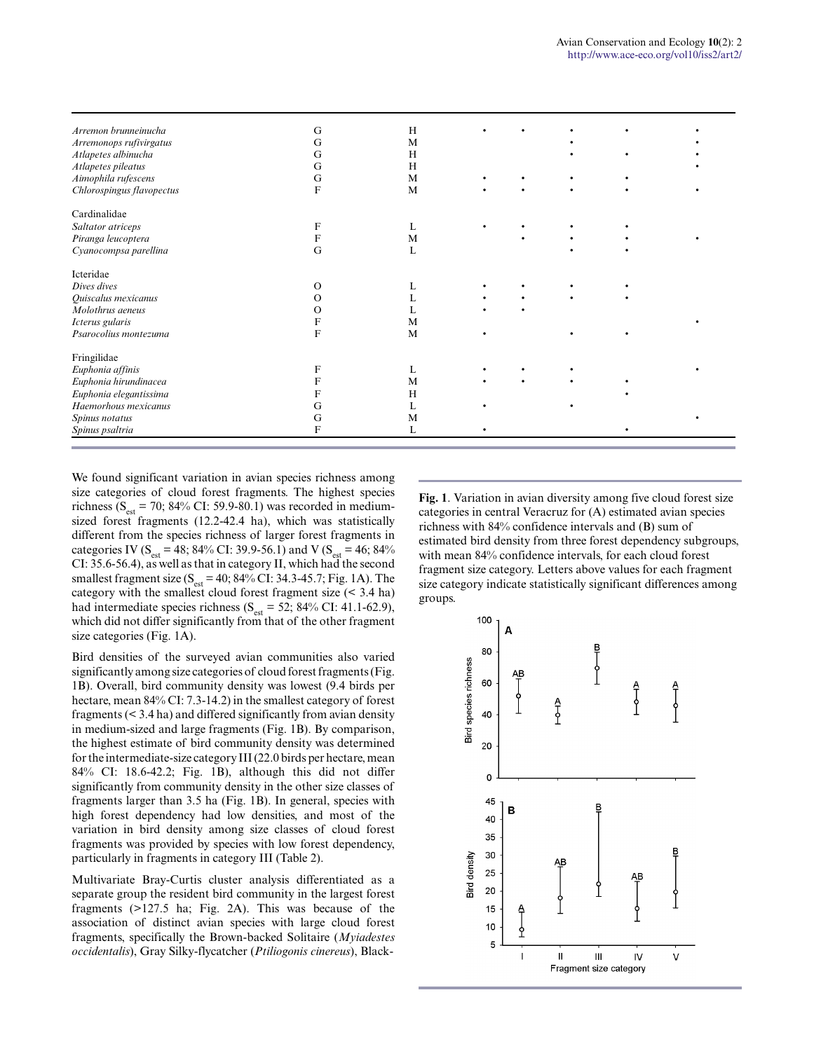| Arremon brunneinucha      | G  | H |  |  |  |
|---------------------------|----|---|--|--|--|
| Arremonops rufivirgatus   | Сì | M |  |  |  |
| Atlapetes albinucha       | G  | H |  |  |  |
| Atlapetes pileatus        | G  | H |  |  |  |
| Aimophila rufescens       | Gì | M |  |  |  |
| Chlorospingus flavopectus | F  | M |  |  |  |
| Cardinalidae              |    |   |  |  |  |
| Saltator atriceps         |    |   |  |  |  |
| Piranga leucoptera        |    | M |  |  |  |
| Cyanocompsa parellina     | G  | L |  |  |  |
| Icteridae                 |    |   |  |  |  |
| Dives dives               |    |   |  |  |  |
| Quiscalus mexicanus       |    |   |  |  |  |
| Molothrus aeneus          |    |   |  |  |  |
| Icterus gularis           |    | M |  |  |  |
| Psarocolius montezuma     | F  | M |  |  |  |
| Fringilidae               |    |   |  |  |  |
| Euphonia affinis          |    | L |  |  |  |
| Euphonia hirundinacea     |    | M |  |  |  |
| Euphonia elegantissima    |    | H |  |  |  |
| Haemorhous mexicanus      |    | L |  |  |  |
| Spinus notatus            | G  | M |  |  |  |
| Spinus psaltria           | F  | L |  |  |  |

We found significant variation in avian species richness among size categories of cloud forest fragments. The highest species richness ( $S_{est}$  = 70; 84% CI: 59.9-80.1) was recorded in mediumsized forest fragments (12.2-42.4 ha), which was statistically different from the species richness of larger forest fragments in categories IV ( $S_{est}$  = 48; 84% CI: 39.9-56.1) and V ( $S_{est}$  = 46; 84% CI: 35.6-56.4), as well as that in category II, which had the second smallest fragment size ( $S<sub>est</sub> = 40$ ; 84% CI: 34.3-45.7; Fig. 1A). The category with the smallest cloud forest fragment size (< 3.4 ha) had intermediate species richness ( $S_{est} = 52$ ; 84% CI: 41.1-62.9), which did not differ significantly from that of the other fragment size categories (Fig. 1A).

Bird densities of the surveyed avian communities also varied significantly among size categories of cloud forest fragments (Fig. 1B). Overall, bird community density was lowest (9.4 birds per hectare, mean 84% CI: 7.3-14.2) in the smallest category of forest fragments (< 3.4 ha) and differed significantly from avian density in medium-sized and large fragments (Fig. 1B). By comparison, the highest estimate of bird community density was determined for the intermediate-size category III (22.0 birds per hectare, mean 84% CI: 18.6-42.2; Fig. 1B), although this did not differ significantly from community density in the other size classes of fragments larger than 3.5 ha (Fig. 1B). In general, species with high forest dependency had low densities, and most of the variation in bird density among size classes of cloud forest fragments was provided by species with low forest dependency, particularly in fragments in category III (Table 2).

Multivariate Bray-Curtis cluster analysis differentiated as a separate group the resident bird community in the largest forest fragments (>127.5 ha; Fig. 2A). This was because of the association of distinct avian species with large cloud forest fragments, specifically the Brown-backed Solitaire (*Myiadestes occidentalis*), Gray Silky-flycatcher (*Ptiliogonis cinereus*), Black**Fig. 1**. Variation in avian diversity among five cloud forest size categories in central Veracruz for (A) estimated avian species richness with 84% confidence intervals and (B) sum of estimated bird density from three forest dependency subgroups, with mean 84% confidence intervals, for each cloud forest fragment size category. Letters above values for each fragment size category indicate statistically significant differences among groups.

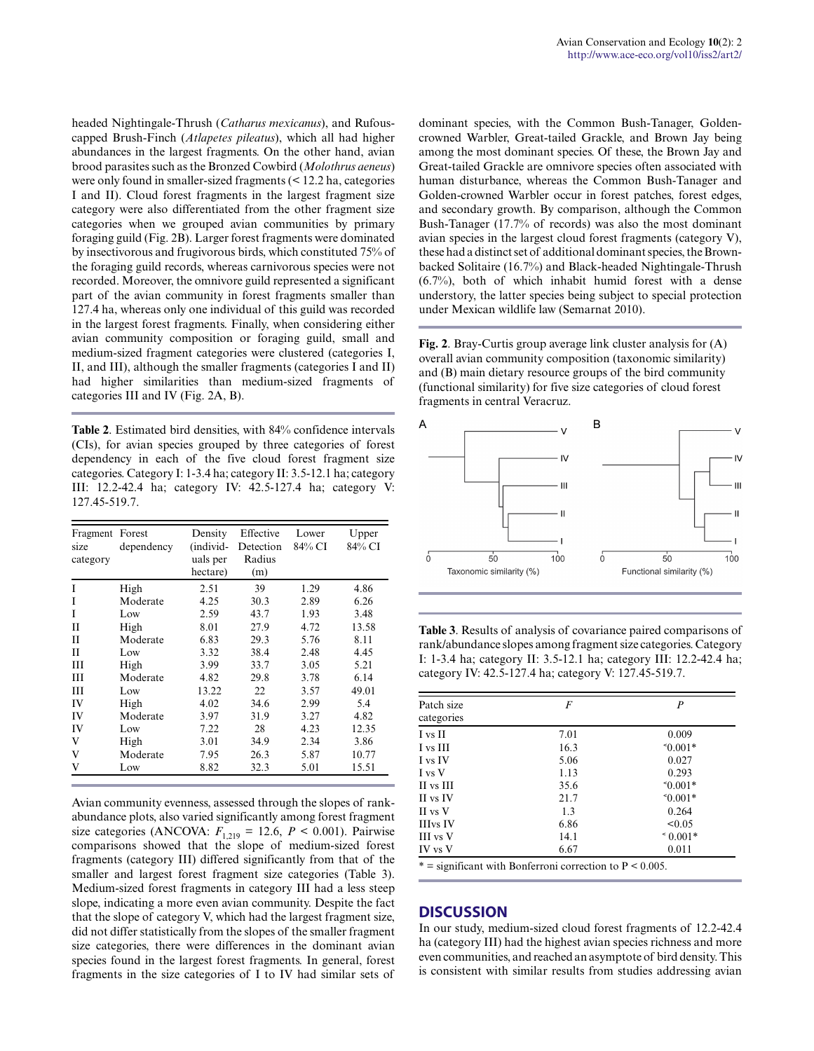headed Nightingale-Thrush (*Catharus mexicanus*), and Rufouscapped Brush-Finch (*Atlapetes pileatus*), which all had higher abundances in the largest fragments. On the other hand, avian brood parasites such as the Bronzed Cowbird (*Molothrus aeneus*) were only found in smaller-sized fragments (< 12.2 ha, categories I and II). Cloud forest fragments in the largest fragment size category were also differentiated from the other fragment size categories when we grouped avian communities by primary foraging guild (Fig. 2B). Larger forest fragments were dominated by insectivorous and frugivorous birds, which constituted 75% of the foraging guild records, whereas carnivorous species were not recorded. Moreover, the omnivore guild represented a significant part of the avian community in forest fragments smaller than 127.4 ha, whereas only one individual of this guild was recorded in the largest forest fragments. Finally, when considering either avian community composition or foraging guild, small and medium-sized fragment categories were clustered (categories I, II, and III), although the smaller fragments (categories I and II) had higher similarities than medium-sized fragments of categories III and IV (Fig. 2A, B).

**Table 2**. Estimated bird densities, with 84% confidence intervals (CIs), for avian species grouped by three categories of forest dependency in each of the five cloud forest fragment size categories. Category I: 1-3.4 ha; category II: 3.5-12.1 ha; category III: 12.2-42.4 ha; category IV: 42.5-127.4 ha; category V: 127.45-519.7.

| Fragment Forest<br>size<br>category | dependency | Density<br>(individ-<br>uals per<br>hectare) | Effective<br>Detection<br>Radius<br>(m) | Lower<br>84% CI | Upper<br>84% CI |
|-------------------------------------|------------|----------------------------------------------|-----------------------------------------|-----------------|-----------------|
| I                                   | High       | 2.51                                         | 39                                      | 1.29            | 4.86            |
| I                                   | Moderate   | 4.25                                         | 30.3                                    | 2.89            | 6.26            |
| T                                   | Low        | 2.59                                         | 43.7                                    | 1.93            | 3.48            |
| Н                                   | High       | 8.01                                         | 27.9                                    | 4.72            | 13.58           |
| $_{\rm II}$                         | Moderate   | 6.83                                         | 29.3                                    | 5.76            | 8.11            |
| $_{\rm II}$                         | Low        | 3.32                                         | 38.4                                    | 2.48            | 4.45            |
| Ш                                   | High       | 3.99                                         | 33.7                                    | 3.05            | 5.21            |
| Ш                                   | Moderate   | 4.82                                         | 29.8                                    | 3.78            | 6.14            |
| Ш                                   | Low        | 13.22                                        | 22                                      | 3.57            | 49.01           |
| IV                                  | High       | 4.02                                         | 34.6                                    | 2.99            | 5.4             |
| IV                                  | Moderate   | 3.97                                         | 31.9                                    | 3.27            | 4.82            |
| IV                                  | Low        | 7.22                                         | 28                                      | 4.23            | 12.35           |
| V                                   | High       | 3.01                                         | 34.9                                    | 2.34            | 3.86            |
| V                                   | Moderate   | 7.95                                         | 26.3                                    | 5.87            | 10.77           |
| V                                   | Low        | 8.82                                         | 32.3                                    | 5.01            | 15.51           |

Avian community evenness, assessed through the slopes of rankabundance plots, also varied significantly among forest fragment size categories (ANCOVA:  $F_{1,219} = 12.6$ ,  $P < 0.001$ ). Pairwise comparisons showed that the slope of medium-sized forest fragments (category III) differed significantly from that of the smaller and largest forest fragment size categories (Table 3). Medium-sized forest fragments in category III had a less steep slope, indicating a more even avian community. Despite the fact that the slope of category V, which had the largest fragment size, did not differ statistically from the slopes of the smaller fragment size categories, there were differences in the dominant avian species found in the largest forest fragments. In general, forest fragments in the size categories of I to IV had similar sets of dominant species, with the Common Bush-Tanager, Goldencrowned Warbler, Great-tailed Grackle, and Brown Jay being among the most dominant species. Of these, the Brown Jay and Great-tailed Grackle are omnivore species often associated with human disturbance, whereas the Common Bush-Tanager and Golden-crowned Warbler occur in forest patches, forest edges, and secondary growth. By comparison, although the Common Bush-Tanager (17.7% of records) was also the most dominant avian species in the largest cloud forest fragments (category V), these had a distinct set of additional dominant species, the Brownbacked Solitaire (16.7%) and Black-headed Nightingale-Thrush (6.7%), both of which inhabit humid forest with a dense understory, the latter species being subject to special protection under Mexican wildlife law (Semarnat 2010).

**Fig. 2**. Bray-Curtis group average link cluster analysis for (A) overall avian community composition (taxonomic similarity) and (B) main dietary resource groups of the bird community (functional similarity) for five size categories of cloud forest fragments in central Veracruz.



**Table 3**. Results of analysis of covariance paired comparisons of rank/abundance slopes among fragment size categories. Category I: 1-3.4 ha; category II: 3.5-12.1 ha; category III: 12.2-42.4 ha; category IV: 42.5-127.4 ha; category V: 127.45-519.7.

| Patch size<br>categories | F    | P          |
|--------------------------|------|------------|
| I vs II                  | 7.01 | 0.009      |
| I vs III                 | 16.3 | $^*0.001*$ |
| I vs IV                  | 5.06 | 0.027      |
| I vs V                   | 1.13 | 0.293      |
| II vs III                | 35.6 | $^*0.001*$ |
| II vs IV                 | 21.7 | $^*0.001*$ |
| II vs V                  | 1.3  | 0.264      |
| <b>IIIvs</b> IV          | 6.86 | < 0.05     |
| III vs V                 | 14.1 | $0.001*$   |
| IV vs V                  | 6.67 | 0.011      |

 $* =$  significant with Bonferroni correction to  $P \le 0.005$ .

### **DISCUSSION**

In our study, medium-sized cloud forest fragments of 12.2-42.4 ha (category III) had the highest avian species richness and more even communities, and reached an asymptote of bird density. This is consistent with similar results from studies addressing avian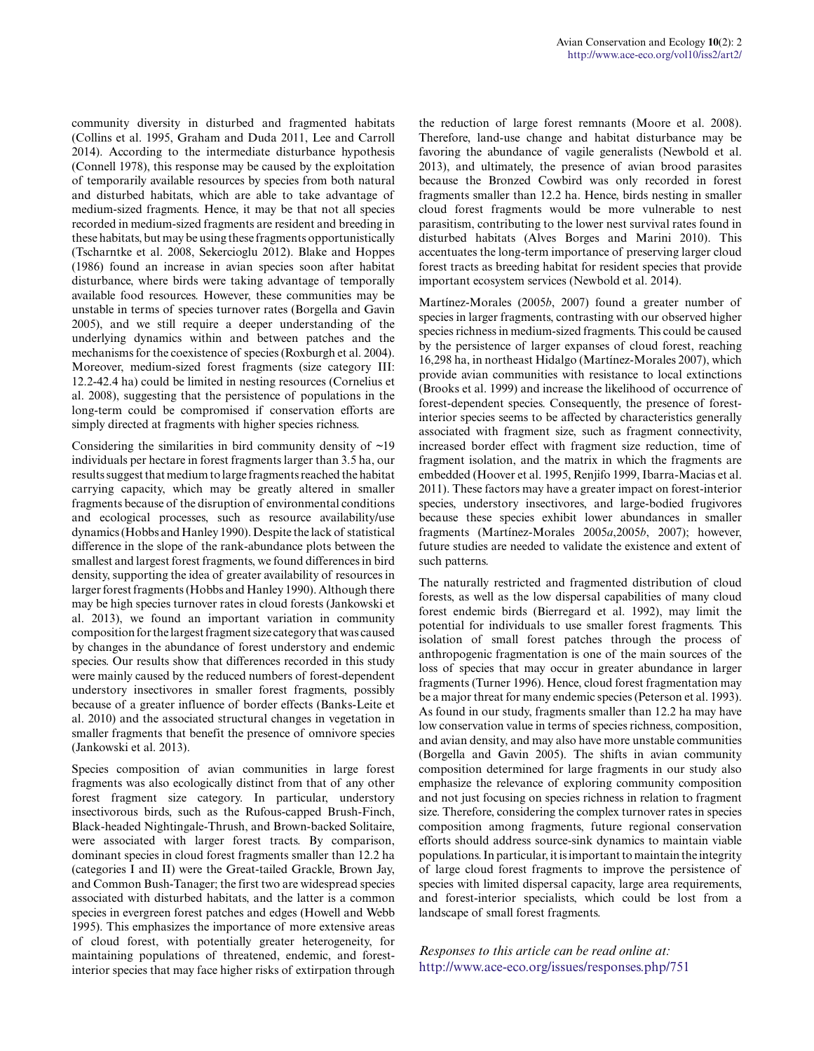community diversity in disturbed and fragmented habitats (Collins et al. 1995, Graham and Duda 2011, Lee and Carroll 2014). According to the intermediate disturbance hypothesis (Connell 1978), this response may be caused by the exploitation of temporarily available resources by species from both natural and disturbed habitats, which are able to take advantage of medium-sized fragments. Hence, it may be that not all species recorded in medium-sized fragments are resident and breeding in these habitats, but may be using these fragments opportunistically (Tscharntke et al. 2008, Sekercioglu 2012). Blake and Hoppes (1986) found an increase in avian species soon after habitat disturbance, where birds were taking advantage of temporally available food resources. However, these communities may be unstable in terms of species turnover rates (Borgella and Gavin 2005), and we still require a deeper understanding of the underlying dynamics within and between patches and the mechanisms for the coexistence of species (Roxburgh et al. 2004). Moreover, medium-sized forest fragments (size category III: 12.2-42.4 ha) could be limited in nesting resources (Cornelius et al. 2008), suggesting that the persistence of populations in the long-term could be compromised if conservation efforts are simply directed at fragments with higher species richness.

Considering the similarities in bird community density of  $\sim$ 19 individuals per hectare in forest fragments larger than 3.5 ha, our results suggest that medium to large fragments reached the habitat carrying capacity, which may be greatly altered in smaller fragments because of the disruption of environmental conditions and ecological processes, such as resource availability/use dynamics (Hobbs and Hanley 1990). Despite the lack of statistical difference in the slope of the rank-abundance plots between the smallest and largest forest fragments, we found differences in bird density, supporting the idea of greater availability of resources in larger forest fragments (Hobbs and Hanley 1990). Although there may be high species turnover rates in cloud forests (Jankowski et al. 2013), we found an important variation in community composition for the largest fragment size category that was caused by changes in the abundance of forest understory and endemic species. Our results show that differences recorded in this study were mainly caused by the reduced numbers of forest-dependent understory insectivores in smaller forest fragments, possibly because of a greater influence of border effects (Banks-Leite et al. 2010) and the associated structural changes in vegetation in smaller fragments that benefit the presence of omnivore species (Jankowski et al. 2013).

Species composition of avian communities in large forest fragments was also ecologically distinct from that of any other forest fragment size category. In particular, understory insectivorous birds, such as the Rufous-capped Brush-Finch, Black-headed Nightingale-Thrush, and Brown-backed Solitaire, were associated with larger forest tracts. By comparison, dominant species in cloud forest fragments smaller than 12.2 ha (categories I and II) were the Great-tailed Grackle, Brown Jay, and Common Bush-Tanager; the first two are widespread species associated with disturbed habitats, and the latter is a common species in evergreen forest patches and edges (Howell and Webb 1995). This emphasizes the importance of more extensive areas of cloud forest, with potentially greater heterogeneity, for maintaining populations of threatened, endemic, and forestinterior species that may face higher risks of extirpation through

the reduction of large forest remnants (Moore et al. 2008). Therefore, land-use change and habitat disturbance may be favoring the abundance of vagile generalists (Newbold et al. 2013), and ultimately, the presence of avian brood parasites because the Bronzed Cowbird was only recorded in forest fragments smaller than 12.2 ha. Hence, birds nesting in smaller cloud forest fragments would be more vulnerable to nest parasitism, contributing to the lower nest survival rates found in disturbed habitats (Alves Borges and Marini 2010). This accentuates the long-term importance of preserving larger cloud forest tracts as breeding habitat for resident species that provide important ecosystem services (Newbold et al. 2014).

Martínez-Morales (2005*b*, 2007) found a greater number of species in larger fragments, contrasting with our observed higher species richness in medium-sized fragments. This could be caused by the persistence of larger expanses of cloud forest, reaching 16,298 ha, in northeast Hidalgo (Martínez-Morales 2007), which provide avian communities with resistance to local extinctions (Brooks et al. 1999) and increase the likelihood of occurrence of forest-dependent species. Consequently, the presence of forestinterior species seems to be affected by characteristics generally associated with fragment size, such as fragment connectivity, increased border effect with fragment size reduction, time of fragment isolation, and the matrix in which the fragments are embedded (Hoover et al. 1995, Renjifo 1999, Ibarra-Macias et al. 2011). These factors may have a greater impact on forest-interior species, understory insectivores, and large-bodied frugivores because these species exhibit lower abundances in smaller fragments (Martínez-Morales 2005*a*,2005*b*, 2007); however, future studies are needed to validate the existence and extent of such patterns.

The naturally restricted and fragmented distribution of cloud forests, as well as the low dispersal capabilities of many cloud forest endemic birds (Bierregard et al. 1992), may limit the potential for individuals to use smaller forest fragments. This isolation of small forest patches through the process of anthropogenic fragmentation is one of the main sources of the loss of species that may occur in greater abundance in larger fragments (Turner 1996). Hence, cloud forest fragmentation may be a major threat for many endemic species (Peterson et al. 1993). As found in our study, fragments smaller than 12.2 ha may have low conservation value in terms of species richness, composition, and avian density, and may also have more unstable communities (Borgella and Gavin 2005). The shifts in avian community composition determined for large fragments in our study also emphasize the relevance of exploring community composition and not just focusing on species richness in relation to fragment size. Therefore, considering the complex turnover rates in species composition among fragments, future regional conservation efforts should address source-sink dynamics to maintain viable populations. In particular, it is important to maintain the integrity of large cloud forest fragments to improve the persistence of species with limited dispersal capacity, large area requirements, and forest-interior specialists, which could be lost from a landscape of small forest fragments.

*Responses to this article can be read online at:* <http://www.ace-eco.org/issues/responses.php/751>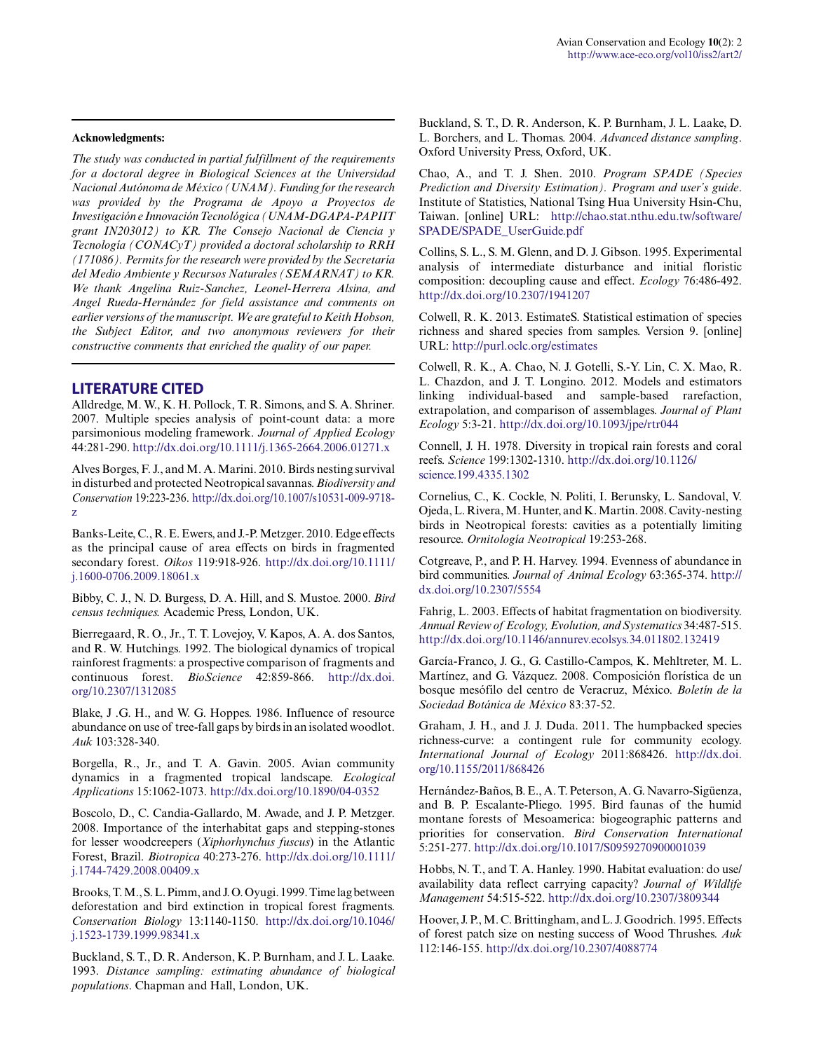#### **Acknowledgments:**

*The study was conducted in partial fulfillment of the requirements for a doctoral degree in Biological Sciences at the Universidad Nacional Autónoma de México (UNAM). Funding for the research was provided by the Programa de Apoyo a Proyectos de Investigación e Innovación Tecnológica (UNAM-DGAPA-PAPIIT grant IN203012) to KR. The Consejo Nacional de Ciencia y Tecnología (CONACyT) provided a doctoral scholarship to RRH (171086). Permits for the research were provided by the Secretaría del Medio Ambiente y Recursos Naturales (SEMARNAT) to KR. We thank Angelina Ruiz-Sanchez, Leonel-Herrera Alsina, and Angel Rueda-Hernández for field assistance and comments on earlier versions of the manuscript. We are grateful to Keith Hobson, the Subject Editor, and two anonymous reviewers for their constructive comments that enriched the quality of our paper.*

#### **LITERATURE CITED**

Alldredge, M. W., K. H. Pollock, T. R. Simons, and S. A. Shriner. 2007. Multiple species analysis of point-count data: a more parsimonious modeling framework. *Journal of Applied Ecology* 44:281-290. [http://dx.doi.org/10.1111/j.1365-2664.2006.01271.x](http://dx.doi.org/10.1111%2Fj.1365-2664.2006.01271.x)

Alves Borges, F. J., and M. A. Marini. 2010. Birds nesting survival in disturbed and protected Neotropical savannas. *Biodiversity and Conservation* 19:223-236. [http://dx.doi.org/10.1007/s10531-009-9718](http://dx.doi.org/10.1007%2Fs10531-009-9718-z) [z](http://dx.doi.org/10.1007%2Fs10531-009-9718-z) 

Banks-Leite, C., R. E. Ewers, and J.-P. Metzger. 2010. Edge effects as the principal cause of area effects on birds in fragmented secondary forest. *Oikos* 119:918-926. [http://dx.doi.org/10.1111/](http://dx.doi.org/10.1111%2Fj.1600-0706.2009.18061.x) [j.1600-0706.2009.18061.x](http://dx.doi.org/10.1111%2Fj.1600-0706.2009.18061.x)

Bibby, C. J., N. D. Burgess, D. A. Hill, and S. Mustoe. 2000. *Bird census techniques.* Academic Press, London, UK.

Bierregaard, R. O., Jr., T. T. Lovejoy, V. Kapos, A. A. dos Santos, and R. W. Hutchings. 1992. The biological dynamics of tropical rainforest fragments: a prospective comparison of fragments and continuous forest. *BioScience* 42:859-866. [http://dx.doi.](http://dx.doi.org/10.2307%2F1312085) [org/10.2307/1312085](http://dx.doi.org/10.2307%2F1312085) 

Blake, J .G. H., and W. G. Hoppes. 1986. Influence of resource abundance on use of tree-fall gaps by birds in an isolated woodlot. *Auk* 103:328-340.

Borgella, R., Jr., and T. A. Gavin. 2005. Avian community dynamics in a fragmented tropical landscape. *Ecological Applications* 15:1062-1073. [http://dx.doi.org/10.1890/04-0352](http://dx.doi.org/10.1890%2F04-0352)

Boscolo, D., C. Candia-Gallardo, M. Awade, and J. P. Metzger. 2008. Importance of the interhabitat gaps and stepping-stones for lesser woodcreepers (*Xiphorhynchus fuscus*) in the Atlantic Forest, Brazil. *Biotropica* 40:273-276. [http://dx.doi.org/10.1111/](http://dx.doi.org/10.1111%2Fj.1744-7429.2008.00409.x) [j.1744-7429.2008.00409.x](http://dx.doi.org/10.1111%2Fj.1744-7429.2008.00409.x)

Brooks, T. M., S. L. Pimm, and J. O. Oyugi. 1999. Time lag between deforestation and bird extinction in tropical forest fragments. *Conservation Biology* 13:1140-1150. [http://dx.doi.org/10.1046/](http://dx.doi.org/10.1046%2Fj.1523-1739.1999.98341.x) [j.1523-1739.1999.98341.x](http://dx.doi.org/10.1046%2Fj.1523-1739.1999.98341.x)

Buckland, S. T., D. R. Anderson, K. P. Burnham, and J. L. Laake. 1993. *Distance sampling: estimating abundance of biological populations*. Chapman and Hall, London, UK.

Buckland, S. T., D. R. Anderson, K. P. Burnham, J. L. Laake, D. L. Borchers, and L. Thomas. 2004. *Advanced distance sampling*. Oxford University Press, Oxford, UK.

Chao, A., and T. J. Shen. 2010. *Program SPADE (Species Prediction and Diversity Estimation). Program and user's guide*. Institute of Statistics, National Tsing Hua University Hsin-Chu, Taiwan. [online] URL: [http://chao.stat.nthu.edu.tw/software/](http://chao.stat.nthu.edu.tw/software/SPADE/SPADE_UserGuide.pdf) [SPADE/SPADE\\_UserGuide.pdf](http://chao.stat.nthu.edu.tw/software/SPADE/SPADE_UserGuide.pdf)

Collins, S. L., S. M. Glenn, and D. J. Gibson. 1995. Experimental analysis of intermediate disturbance and initial floristic composition: decoupling cause and effect. *Ecology* 76:486-492. [http://dx.doi.org/10.2307/1941207](http://dx.doi.org/10.2307%2F1941207) 

Colwell, R. K. 2013. EstimateS. Statistical estimation of species richness and shared species from samples. Version 9. [online] URL:<http://purl.oclc.org/estimates>

Colwell, R. K., A. Chao, N. J. Gotelli, S.-Y. Lin, C. X. Mao, R. L. Chazdon, and J. T. Longino. 2012. Models and estimators linking individual-based and sample-based rarefaction, extrapolation, and comparison of assemblages. *Journal of Plant Ecology* 5:3-21. [http://dx.doi.org/10.1093/jpe/rtr044](http://dx.doi.org/10.1093%2Fjpe%2Frtr044)

Connell, J. H. 1978. Diversity in tropical rain forests and coral reefs. *Science* 199:1302-1310. [http://dx.doi.org/10.1126/](http://dx.doi.org/10.1126%2Fscience.199.4335.1302) [science.199.4335.1302](http://dx.doi.org/10.1126%2Fscience.199.4335.1302) 

Cornelius, C., K. Cockle, N. Politi, I. Berunsky, L. Sandoval, V. Ojeda, L. Rivera, M. Hunter, and K. Martin. 2008. Cavity-nesting birds in Neotropical forests: cavities as a potentially limiting resource. *Ornitología Neotropical* 19:253-268.

Cotgreave, P., and P. H. Harvey. 1994. Evenness of abundance in bird communities. *Journal of Animal Ecology* 63:365-374. [http://](http://dx.doi.org/10.2307%2F5554) [dx.doi.org/10.2307/5554](http://dx.doi.org/10.2307%2F5554) 

Fahrig, L. 2003. Effects of habitat fragmentation on biodiversity. *Annual Review of Ecology, Evolution, and Systematics* 34:487-515. [http://dx.doi.org/10.1146/annurev.ecolsys.34.011802.132419](http://dx.doi.org/10.1146%2Fannurev.ecolsys.34.011802.132419)

García-Franco, J. G., G. Castillo-Campos, K. Mehltreter, M. L. Martínez, and G. Vázquez. 2008. Composición florística de un bosque mesófilo del centro de Veracruz, México. *Boletín de la Sociedad Botánica de México* 83:37-52.

Graham, J. H., and J. J. Duda. 2011. The humpbacked species richness-curve: a contingent rule for community ecology. *International Journal of Ecology* 2011:868426. [http://dx.doi.](http://dx.doi.org/10.1155%2F2011%2F868426) [org/10.1155/2011/868426](http://dx.doi.org/10.1155%2F2011%2F868426) 

Hernández-Baños, B. E., A. T. Peterson, A. G. Navarro-Sigüenza, and B. P. Escalante-Pliego. 1995. Bird faunas of the humid montane forests of Mesoamerica: biogeographic patterns and priorities for conservation. *Bird Conservation International* 5:251-277. [http://dx.doi.org/10.1017/S0959270900001039](http://dx.doi.org/10.1017%2FS0959270900001039) 

Hobbs, N. T., and T. A. Hanley. 1990. Habitat evaluation: do use/ availability data reflect carrying capacity? *Journal of Wildlife Management* 54:515-522. [http://dx.doi.org/10.2307/3809344](http://dx.doi.org/10.2307%2F3809344)

Hoover, J. P., M. C. Brittingham, and L. J. Goodrich. 1995. Effects of forest patch size on nesting success of Wood Thrushes. *Auk* 112:146-155. [http://dx.doi.org/10.2307/4088774](http://dx.doi.org/10.2307%2F4088774)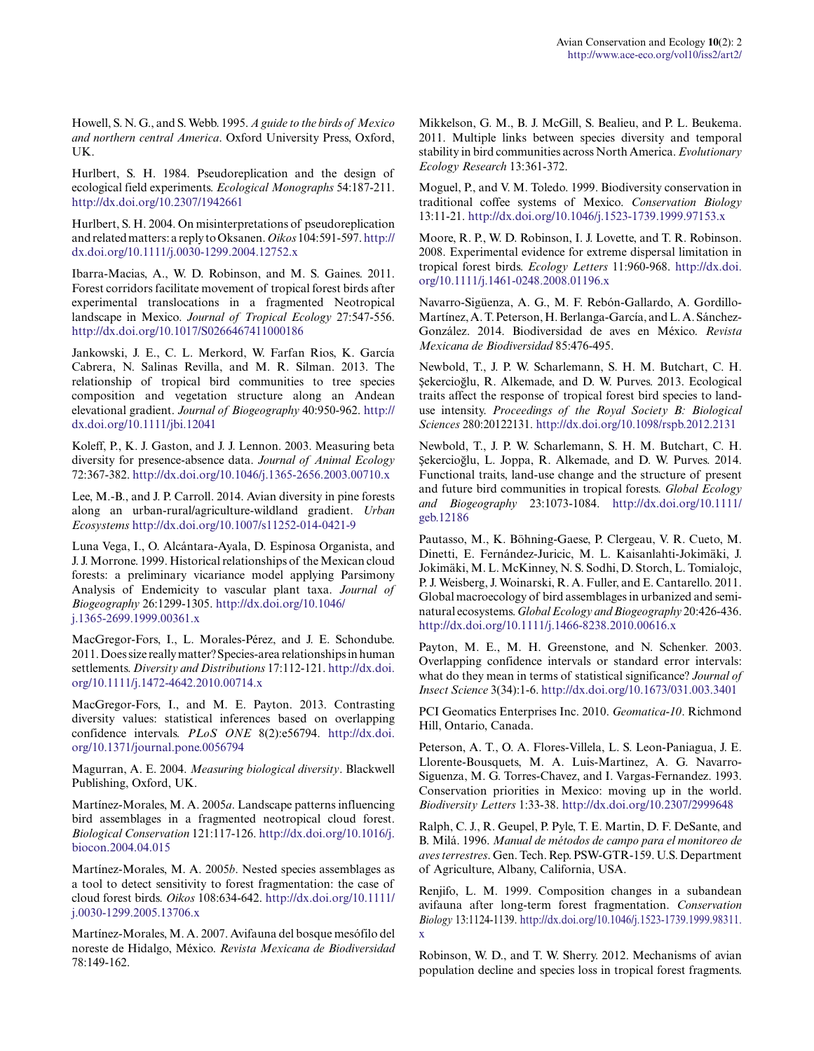Howell, S. N. G., and S. Webb. 1995. *A guide to the birds of Mexico and northern central America*. Oxford University Press, Oxford, UK.

Hurlbert, S. H. 1984. Pseudoreplication and the design of ecological field experiments. *Ecological Monographs* 54:187-211. [http://dx.doi.org/10.2307/1942661](http://dx.doi.org/10.2307%2F1942661) 

Hurlbert, S. H. 2004. On misinterpretations of pseudoreplication and related matters: a reply to Oksanen. *Oikos* 104:591-597. [http://](http://dx.doi.org/10.1111%2Fj.0030-1299.2004.12752.x) [dx.doi.org/10.1111/j.0030-1299.2004.12752.x](http://dx.doi.org/10.1111%2Fj.0030-1299.2004.12752.x)

Ibarra-Macias, A., W. D. Robinson, and M. S. Gaines. 2011. Forest corridors facilitate movement of tropical forest birds after experimental translocations in a fragmented Neotropical landscape in Mexico. *Journal of Tropical Ecology* 27:547-556. [http://dx.doi.org/10.1017/S0266467411000186](http://dx.doi.org/10.1017%2FS0266467411000186)

Jankowski, J. E., C. L. Merkord, W. Farfan Rios, K. García Cabrera, N. Salinas Revilla, and M. R. Silman. 2013. The relationship of tropical bird communities to tree species composition and vegetation structure along an Andean elevational gradient. *Journal of Biogeography* 40:950-962. [http://](http://dx.doi.org/10.1111%2Fjbi.12041) [dx.doi.org/10.1111/jbi.12041](http://dx.doi.org/10.1111%2Fjbi.12041) 

Koleff, P., K. J. Gaston, and J. J. Lennon. 2003. Measuring beta diversity for presence-absence data. *Journal of Animal Ecology* 72:367-382. [http://dx.doi.org/10.1046/j.1365-2656.2003.00710.x](http://dx.doi.org/10.1046%2Fj.1365-2656.2003.00710.x)

Lee, M.-B., and J. P. Carroll. 2014. Avian diversity in pine forests along an urban-rural/agriculture-wildland gradient. *Urban Ecosystems* [http://dx.doi.org/10.1007/s11252-014-0421-9](http://dx.doi.org/10.1007%2Fs11252-014-0421-9) 

Luna Vega, I., O. Alcántara-Ayala, D. Espinosa Organista, and J. J. Morrone. 1999. Historical relationships of the Mexican cloud forests: a preliminary vicariance model applying Parsimony Analysis of Endemicity to vascular plant taxa. *Journal of Biogeography* 26:1299-1305. [http://dx.doi.org/10.1046/](http://dx.doi.org/10.1046%2Fj.1365-2699.1999.00361.x) [j.1365-2699.1999.00361.x](http://dx.doi.org/10.1046%2Fj.1365-2699.1999.00361.x)

MacGregor-Fors, I., L. Morales-Pérez, and J. E. Schondube. 2011. Does size really matter? Species-area relationships in human settlements. *Diversity and Distributions* 17:112-121. [http://dx.doi.](http://dx.doi.org/10.1111%2Fj.1472-4642.2010.00714.x) [org/10.1111/j.1472-4642.2010.00714.x](http://dx.doi.org/10.1111%2Fj.1472-4642.2010.00714.x)

MacGregor-Fors, I., and M. E. Payton. 2013. Contrasting diversity values: statistical inferences based on overlapping confidence intervals. *PLoS ONE* 8(2):e56794. [http://dx.doi.](http://dx.doi.org/10.1371%2Fjournal.pone.0056794) [org/10.1371/journal.pone.0056794](http://dx.doi.org/10.1371%2Fjournal.pone.0056794) 

Magurran, A. E. 2004. *Measuring biological diversity*. Blackwell Publishing, Oxford, UK.

Martínez-Morales, M. A. 2005*a*. Landscape patterns influencing bird assemblages in a fragmented neotropical cloud forest. *Biological Conservation* 121:117-126. [http://dx.doi.org/10.1016/j.](http://dx.doi.org/10.1016%2Fj.biocon.2004.04.015) [biocon.2004.04.015](http://dx.doi.org/10.1016%2Fj.biocon.2004.04.015)

Martínez-Morales, M. A. 2005*b*. Nested species assemblages as a tool to detect sensitivity to forest fragmentation: the case of cloud forest birds. *Oikos* 108:634-642. [http://dx.doi.org/10.1111/](http://dx.doi.org/10.1111%2Fj.0030-1299.2005.13706.x) [j.0030-1299.2005.13706.x](http://dx.doi.org/10.1111%2Fj.0030-1299.2005.13706.x)

Martínez-Morales, M. A. 2007. Avifauna del bosque mesófilo del noreste de Hidalgo, México. *Revista Mexicana de Biodiversidad* 78:149-162.

Mikkelson, G. M., B. J. McGill, S. Bealieu, and P. L. Beukema. 2011. Multiple links between species diversity and temporal stability in bird communities across North America. *Evolutionary Ecology Research* 13:361-372.

Moguel, P., and V. M. Toledo. 1999. Biodiversity conservation in traditional coffee systems of Mexico. *Conservation Biology* 13:11-21. [http://dx.doi.org/10.1046/j.1523-1739.1999.97153.x](http://dx.doi.org/10.1046%2Fj.1523-1739.1999.97153.x) 

Moore, R. P., W. D. Robinson, I. J. Lovette, and T. R. Robinson. 2008. Experimental evidence for extreme dispersal limitation in tropical forest birds. *Ecology Letters* 11:960-968. [http://dx.doi.](http://dx.doi.org/10.1111%2Fj.1461-0248.2008.01196.x) [org/10.1111/j.1461-0248.2008.01196.x](http://dx.doi.org/10.1111%2Fj.1461-0248.2008.01196.x)

Navarro-Sigüenza, A. G., M. F. Rebón-Gallardo, A. Gordillo-Martínez, A. T. Peterson, H. Berlanga-García, and L. A. Sánchez-González. 2014. Biodiversidad de aves en México. *Revista Mexicana de Biodiversidad* 85:476-495.

Newbold, T., J. P. W. Scharlemann, S. H. M. Butchart, C. H. Şekercioğlu, R. Alkemade, and D. W. Purves. 2013. Ecological traits affect the response of tropical forest bird species to landuse intensity. *Proceedings of the Royal Society B: Biological Sciences* 280:20122131. [http://dx.doi.org/10.1098/rspb.2012.2131](http://dx.doi.org/10.1098%2Frspb.2012.2131) 

Newbold, T., J. P. W. Scharlemann, S. H. M. Butchart, C. H. Şekercioğlu, L. Joppa, R. Alkemade, and D. W. Purves. 2014. Functional traits, land-use change and the structure of present and future bird communities in tropical forests. *Global Ecology and Biogeography* 23:1073-1084. [http://dx.doi.org/10.1111/](http://dx.doi.org/10.1111%2Fgeb.12186) [geb.12186](http://dx.doi.org/10.1111%2Fgeb.12186) 

Pautasso, M., K. Böhning-Gaese, P. Clergeau, V. R. Cueto, M. Dinetti, E. Fernández-Juricic, M. L. Kaisanlahti-Jokimäki, J. Jokimäki, M. L. McKinney, N. S. Sodhi, D. Storch, L. Tomialojc, P. J. Weisberg, J. Woinarski, R. A. Fuller, and E. Cantarello. 2011. Global macroecology of bird assemblages in urbanized and seminatural ecosystems. *Global Ecology and Biogeography* 20:426-436. [http://dx.doi.org/10.1111/j.1466-8238.2010.00616.x](http://dx.doi.org/10.1111%2Fj.1466-8238.2010.00616.x) 

Payton, M. E., M. H. Greenstone, and N. Schenker. 2003. Overlapping confidence intervals or standard error intervals: what do they mean in terms of statistical significance? *Journal of Insect Science* 3(34):1-6. [http://dx.doi.org/10.1673/031.003.3401](http://dx.doi.org/10.1673%2F031.003.3401)

PCI Geomatics Enterprises Inc. 2010. *Geomatica-10*. Richmond Hill, Ontario, Canada.

Peterson, A. T., O. A. Flores-Villela, L. S. Leon-Paniagua, J. E. Llorente-Bousquets, M. A. Luis-Martinez, A. G. Navarro-Siguenza, M. G. Torres-Chavez, and I. Vargas-Fernandez. 1993. Conservation priorities in Mexico: moving up in the world. *Biodiversity Letters* 1:33-38. [http://dx.doi.org/10.2307/2999648](http://dx.doi.org/10.2307%2F2999648) 

Ralph, C. J., R. Geupel, P. Pyle, T. E. Martin, D. F. DeSante, and B. Milá. 1996. *Manual de métodos de campo para el monitoreo de aves terrestres*. Gen. Tech. Rep. PSW-GTR-159. U.S. Department of Agriculture, Albany, California, USA.

Renjifo, L. M. 1999. Composition changes in a subandean avifauna after long-term forest fragmentation. *Conservation Biology* 13:1124-1139. [http://dx.doi.org/10.1046/j.1523-1739.1999.98311.](http://dx.doi.org/10.1046%2Fj.1523-1739.1999.98311.x) [x](http://dx.doi.org/10.1046%2Fj.1523-1739.1999.98311.x) 

Robinson, W. D., and T. W. Sherry. 2012. Mechanisms of avian population decline and species loss in tropical forest fragments.